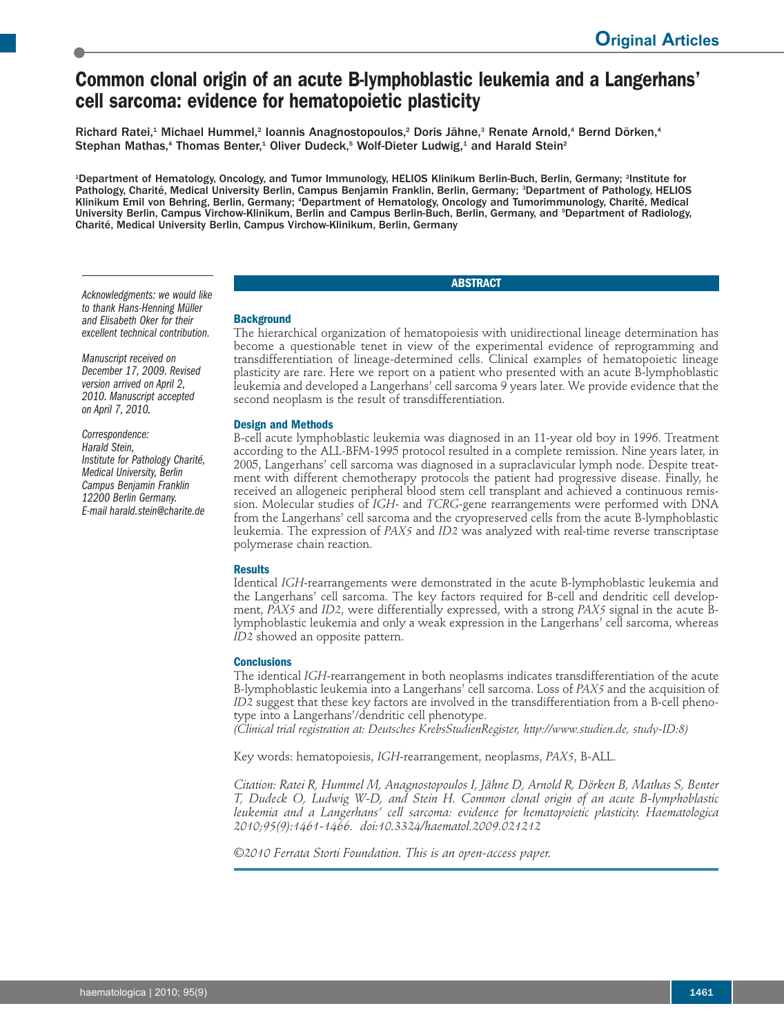# **Common clonal origin of an acute B-lymphoblastic leukemia and a Langerhans' cell sarcoma: evidence for hematopoietic plasticity**

Richard Ratei,<sup>1</sup> Michael Hummel,<sup>2</sup> Ioannis Anagnostopoulos,<sup>2</sup> Doris Jähne,<sup>3</sup> Renate Arnold,<sup>4</sup> Bernd Dörken,<sup>4</sup> Stephan Mathas,<sup>4</sup> Thomas Benter,<sup>1</sup> Oliver Dudeck,<sup>5</sup> Wolf-Dieter Ludwig,<sup>1</sup> and Harald Stein<sup>2</sup>

1 Department of Hematology, Oncology, and Tumor Immunology, HELIOS Klinikum Berlin-Buch, Berlin, Germany; <sup>2</sup> Institute for Pathology, Charité, Medical University Berlin, Campus Benjamin Franklin, Berlin, Germany; <sup>3</sup>Department of Pathology, HELIOS Klinikum Emil von Behring, Berlin, Germany; <sup>4</sup>Department of Hematology, Oncology and Tumorimmunology, Charité, Medical University Berlin, Campus Virchow-Klinikum, Berlin and Campus Berlin-Buch, Berlin, Germany, and <sup>5</sup>Department of Radiology, Charité, Medical University Berlin, Campus Virchow-Klinikum, Berlin, Germany

# **ABSTRACT**

*Acknowledgments: we would like to thank Hans-Henning Müller and Elisabeth Oker for their excellent technical contribution.*

*Manuscript received on December 17, 2009. Revised version arrived on April 2, 2010. Manuscript accepted on April 7, 2010.*

*Correspondence: Harald Stein, Institute for Pathology Charité, Medical University, Berlin Campus Benjamin Franklin 12200 Berlin Germany. E-mail harald.stein@charite.de* The hierarchical organization of hematopoiesis with unidirectional lineage determination has become a questionable tenet in view of the experimental evidence of reprogramming and transdifferentiation of lineage-determined cells. Clinical examples of hematopoietic lineage plasticity are rare. Here we report on a patient who presented with an acute B-lymphoblastic leukemia and developed a Langerhans' cell sarcoma 9 years later. We provide evidence that the second neoplasm is the result of transdifferentiation.

## **Design and Methods**

**Background**

B-cell acute lymphoblastic leukemia was diagnosed in an 11-year old boy in 1996. Treatment according to the ALL-BFM-1995 protocol resulted in a complete remission. Nine years later, in 2005, Langerhans' cell sarcoma was diagnosed in a supraclavicular lymph node. Despite treatment with different chemotherapy protocols the patient had progressive disease. Finally, he received an allogeneic peripheral blood stem cell transplant and achieved a continuous remission. Molecular studies of *IGH*- and *TCRG*-gene rearrangements were performed with DNA from the Langerhans' cell sarcoma and the cryopreserved cells from the acute B-lymphoblastic leukemia. The expression of *PAX5* and *ID2* was analyzed with real-time reverse transcriptase polymerase chain reaction.

# **Results**

Identical *IGH*-rearrangements were demonstrated in the acute B-lymphoblastic leukemia and the Langerhans' cell sarcoma. The key factors required for B-cell and dendritic cell development, *PAX5* and *ID2*, were differentially expressed, with a strong *PAX5* signal in the acute Blymphoblastic leukemia and only a weak expression in the Langerhans' cell sarcoma, whereas *ID2* showed an opposite pattern.

#### **Conclusions**

The identical *IGH*-rearrangement in both neoplasms indicates transdifferentiation of the acute B-lymphoblastic leukemia into a Langerhans' cell sarcoma. Loss of *PAX5* and the acquisition of *ID2* suggest that these key factors are involved in the transdifferentiation from a B-cell phenotype into a Langerhans'/dendritic cell phenotype.

*(Clinical trial registration at: Deutsches KrebsStudienRegister, http://www.studien.de, study-ID:8)*

Key words: hematopoiesis, *IGH*-rearrangement, neoplasms, *PAX5*, B-ALL.

*Citation: Ratei R, Hummel M, Anagnostopoulos I, Jähne D, Arnold R, Dörken B, Mathas S, Benter T, Dudeck O, Ludwig W-D, and Stein H. Common clonal origin of an acute B-lymphoblastic leukemia and a Langerhans' cell sarcoma: evidence for hematopoietic plasticity. Haematologica 2010;95(9):1461-1466. doi:10.3324/haematol.2009.021212*

*©2010 Ferrata Storti Foundation. This is an open-access paper.*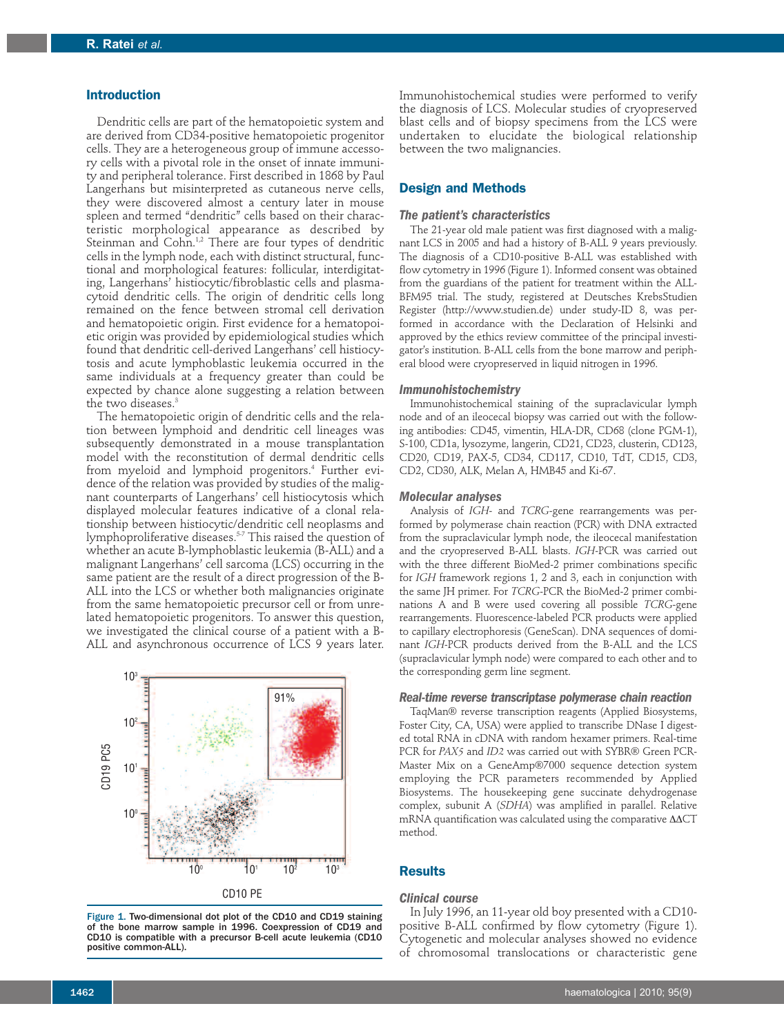## **Introduction**

Dendritic cells are part of the hematopoietic system and are derived from CD34-positive hematopoietic progenitor cells. They are a heterogeneous group of immune accessory cells with a pivotal role in the onset of innate immunity and peripheral tolerance. First described in 1868 by Paul Langerhans but misinterpreted as cutaneous nerve cells, they were discovered almost a century later in mouse spleen and termed "dendritic" cells based on their characteristic morphological appearance as described by Steinman and Cohn.<sup>1,2</sup> There are four types of dendritic cells in the lymph node, each with distinct structural, functional and morphological features: follicular, interdigitating, Langerhans' histiocytic/fibroblastic cells and plasmacytoid dendritic cells. The origin of dendritic cells long remained on the fence between stromal cell derivation and hematopoietic origin. First evidence for a hematopoietic origin was provided by epidemiological studies which found that dendritic cell-derived Langerhans' cell histiocytosis and acute lymphoblastic leukemia occurred in the same individuals at a frequency greater than could be expected by chance alone suggesting a relation between the two diseases. 3

The hematopoietic origin of dendritic cells and the relation between lymphoid and dendritic cell lineages was subsequently demonstrated in a mouse transplantation model with the reconstitution of dermal dendritic cells from myeloid and lymphoid progenitors. <sup>4</sup> Further evidence of the relation was provided by studies of the malignant counterparts of Langerhans' cell histiocytosis which displayed molecular features indicative of a clonal relationship between histiocytic/dendritic cell neoplasms and lymphoproliferative diseases. 5-7 This raised the question of whether an acute B-lymphoblastic leukemia (B-ALL) and a malignant Langerhans' cell sarcoma (LCS) occurring in the same patient are the result of a direct progression of the B-ALL into the LCS or whether both malignancies originate from the same hematopoietic precursor cell or from unrelated hematopoietic progenitors. To answer this question, we investigated the clinical course of a patient with a B-ALL and asynchronous occurrence of LCS 9 years later.



Figure 1. Two-dimensional dot plot of the CD10 and CD19 staining of the bone marrow sample in 1996. Coexpression of CD19 and CD10 is compatible with a precursor B-cell acute leukemia (CD10 positive common-ALL).

Immunohistochemical studies were performed to verify the diagnosis of LCS. Molecular studies of cryopreserved blast cells and of biopsy specimens from the LCS were undertaken to elucidate the biological relationship between the two malignancies.

## **Design and Methods**

### *The patient's characteristics*

The 21-year old male patient was first diagnosed with a malignant LCS in 2005 and had a history of B-ALL 9 years previously. The diagnosis of a CD10-positive B-ALL was established with flow cytometry in 1996 (Figure 1). Informed consent was obtained from the guardians of the patient for treatment within the ALL-BFM95 trial. The study, registered at Deutsches KrebsStudien Register (http://www.studien.de) under study-ID 8, was performed in accordance with the Declaration of Helsinki and approved by the ethics review committee of the principal investigator's institution. B-ALL cells from the bone marrow and peripheral blood were cryopreserved in liquid nitrogen in 1996.

#### *Immunohistochemistry*

Immunohistochemical staining of the supraclavicular lymph node and of an ileocecal biopsy was carried out with the following antibodies: CD45, vimentin, HLA-DR, CD68 (clone PGM-1), S-100, CD1a, lysozyme, langerin, CD21, CD23, clusterin, CD123, CD20, CD19, PAX-5, CD34, CD117, CD10, TdT, CD15, CD3, CD2, CD30, ALK, Melan A, HMB45 and Ki-67.

#### *Molecular analyses*

Analysis of *IGH*- and *TCRG*-gene rearrangements was performed by polymerase chain reaction (PCR) with DNA extracted from the supraclavicular lymph node, the ileocecal manifestation and the cryopreserved B-ALL blasts. *IGH*-PCR was carried out with the three different BioMed-2 primer combinations specific for *IGH* framework regions 1, 2 and 3, each in conjunction with the same JH primer. For *TCRG*-PCR the BioMed-2 primer combinations A and B were used covering all possible *TCRG*-gene rearrangements. Fluorescence-labeled PCR products were applied to capillary electrophoresis (GeneScan). DNA sequences of dominant *IGH*-PCR products derived from the B-ALL and the LCS (supraclavicular lymph node) were compared to each other and to the corresponding germ line segment.

## *Real-time reverse transcriptase polymerase chain reaction*

TaqMan® reverse transcription reagents (Applied Biosystems, Foster City, CA, USA) were applied to transcribe DNase I digested total RNA in cDNA with random hexamer primers. Real-time PCR for *PAX5* and *ID2* was carried out with SYBR® Green PCR-Master Mix on a GeneAmp®7000 sequence detection system employing the PCR parameters recommended by Applied Biosystems. The housekeeping gene succinate dehydrogenase complex, subunit A (*SDHA*) was amplified in parallel. Relative mRNA quantification was calculated using the comparative ΔΔCT method.

## **Results**

#### *Clinical course*

In July 1996, an 11-year old boy presented with a CD10 positive B-ALL confirmed by flow cytometry (Figure 1). Cytogenetic and molecular analyses showed no evidence of chromosomal translocations or characteristic gene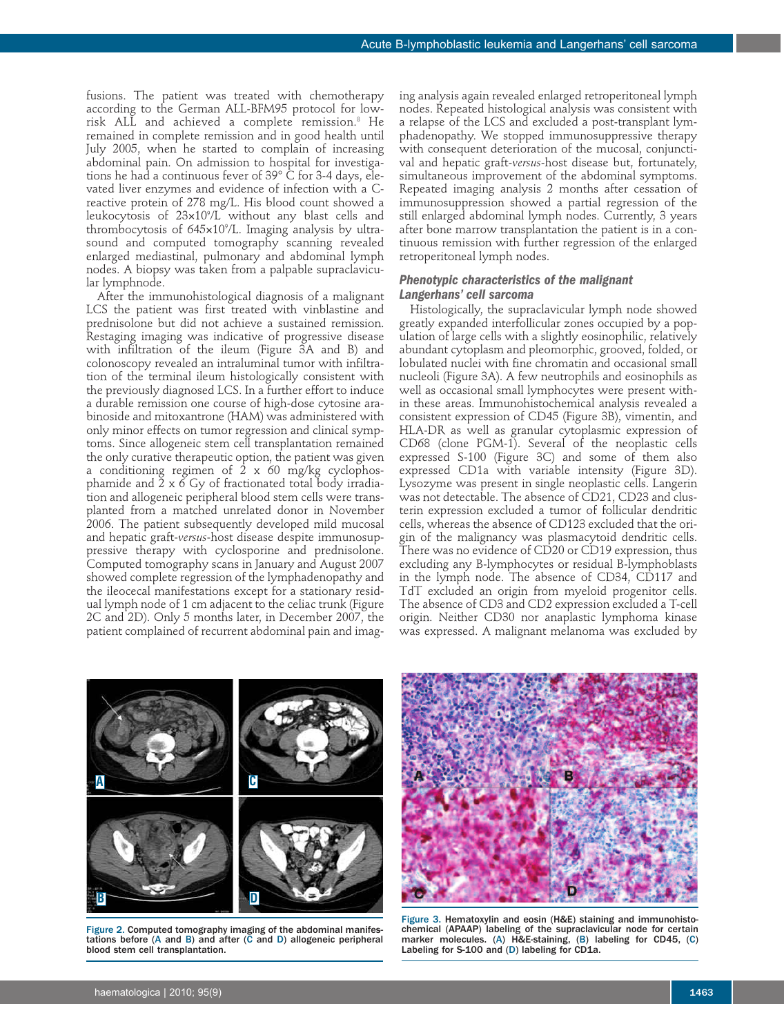fusions. The patient was treated with chemotherapy according to the German ALL-BFM95 protocol for lowrisk ALL and achieved a complete remission. <sup>8</sup> He remained in complete remission and in good health until July 2005, when he started to complain of increasing abdominal pain. On admission to hospital for investigations he had a continuous fever of 39° C for 3-4 days, elevated liver enzymes and evidence of infection with a Creactive protein of 278 mg/L. His blood count showed a leukocytosis of 23¥109 /L without any blast cells and thrombocytosis of 645¥109 /L. Imaging analysis by ultrasound and computed tomography scanning revealed enlarged mediastinal, pulmonary and abdominal lymph nodes. A biopsy was taken from a palpable supraclavicular lymphnode.

After the immunohistological diagnosis of a malignant LCS the patient was first treated with vinblastine and prednisolone but did not achieve a sustained remission. Restaging imaging was indicative of progressive disease with infiltration of the ileum (Figure 3A and B) and colonoscopy revealed an intraluminal tumor with infiltration of the terminal ileum histologically consistent with the previously diagnosed LCS. In a further effort to induce a durable remission one course of high-dose cytosine arabinoside and mitoxantrone (HAM) was administered with only minor effects on tumor regression and clinical symptoms. Since allogeneic stem cell transplantation remained the only curative therapeutic option, the patient was given a conditioning regimen of 2 x 60 mg/kg cyclophosphamide and  $2 \times 6$  Gy of fractionated total body irradiation and allogeneic peripheral blood stem cells were transplanted from a matched unrelated donor in November 2006. The patient subsequently developed mild mucosal and hepatic graft-*versus*-host disease despite immunosuppressive therapy with cyclosporine and prednisolone. Computed tomography scans in January and August 2007 showed complete regression of the lymphadenopathy and the ileocecal manifestations except for a stationary residual lymph node of 1 cm adjacent to the celiac trunk (Figure 2C and 2D). Only 5 months later, in December 2007, the patient complained of recurrent abdominal pain and imaging analysis again revealed enlarged retroperitoneal lymph nodes. Repeated histological analysis was consistent with a relapse of the LCS and excluded a post-transplant lymphadenopathy. We stopped immunosuppressive therapy with consequent deterioration of the mucosal, conjunctival and hepatic graft-*versus*-host disease but, fortunately, simultaneous improvement of the abdominal symptoms. Repeated imaging analysis 2 months after cessation of immunosuppression showed a partial regression of the still enlarged abdominal lymph nodes. Currently, 3 years after bone marrow transplantation the patient is in a continuous remission with further regression of the enlarged retroperitoneal lymph nodes.

# *Phenotypic characteristics of the malignant Langerhans' cell sarcoma*

Histologically, the supraclavicular lymph node showed greatly expanded interfollicular zones occupied by a population of large cells with a slightly eosinophilic, relatively abundant cytoplasm and pleomorphic, grooved, folded, or lobulated nuclei with fine chromatin and occasional small nucleoli (Figure 3A). A few neutrophils and eosinophils as well as occasional small lymphocytes were present within these areas. Immunohistochemical analysis revealed a consistent expression of CD45 (Figure 3B), vimentin, and HLA-DR as well as granular cytoplasmic expression of CD68 (clone PGM-1). Several of the neoplastic cells expressed S-100 (Figure 3C) and some of them also expressed CD1a with variable intensity (Figure 3D). Lysozyme was present in single neoplastic cells. Langerin was not detectable. The absence of CD21, CD23 and clusterin expression excluded a tumor of follicular dendritic cells, whereas the absence of CD123 excluded that the origin of the malignancy was plasmacytoid dendritic cells. There was no evidence of CD20 or CD19 expression, thus excluding any B-lymphocytes or residual B-lymphoblasts in the lymph node. The absence of CD34, CD117 and TdT excluded an origin from myeloid progenitor cells. The absence of CD3 and CD2 expression excluded a T-cell origin. Neither CD30 nor anaplastic lymphoma kinase was expressed. A malignant melanoma was excluded by



Figure 2. Computed tomography imaging of the abdominal manifestations before (A and B) and after (C and D) allogeneic peripheral blood stem cell transplantation.



Figure 3. Hematoxylin and eosin (H&E) staining and immunohistochemical (APAAP) labeling of the supraclavicular node for certain marker molecules. (A) H&E-staining, (B) labeling for CD45, (C) Labeling for S-100 and (D) labeling for CD1a.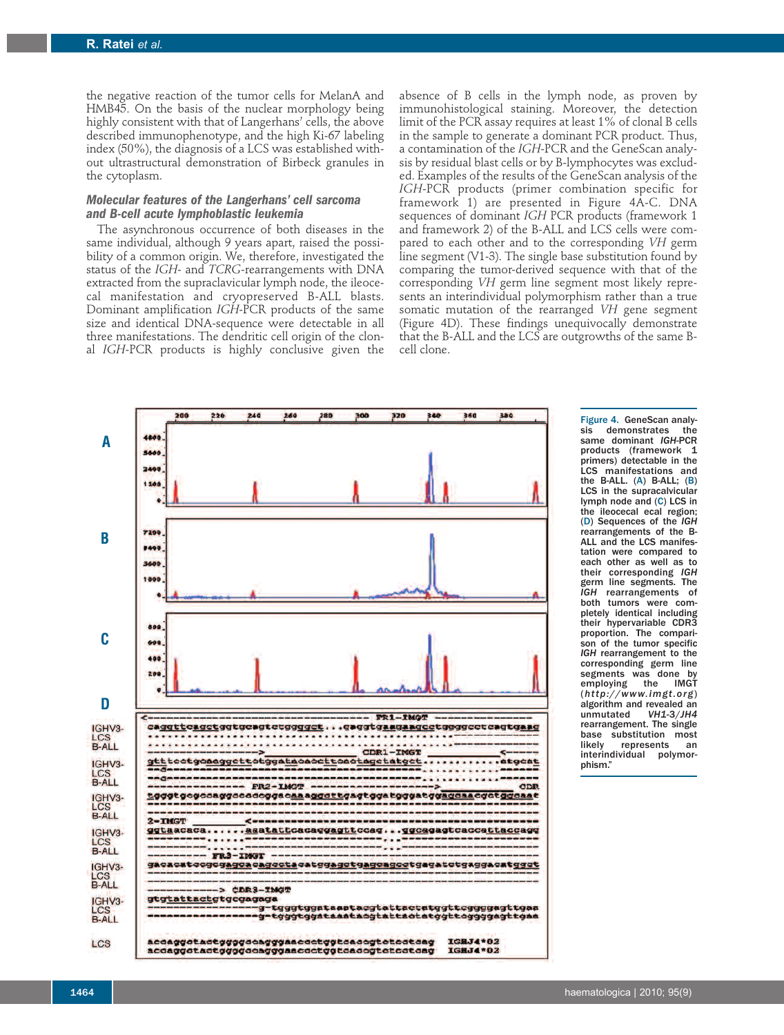the negative reaction of the tumor cells for MelanA and HMB45. On the basis of the nuclear morphology being highly consistent with that of Langerhans' cells, the above described immunophenotype, and the high Ki-67 labeling index (50%), the diagnosis of a LCS was established without ultrastructural demonstration of Birbeck granules in the cytoplasm.

# *Molecular features of the Langerhans' cell sarcoma and B-cell acute lymphoblastic leukemia*

The asynchronous occurrence of both diseases in the same individual, although 9 years apart, raised the possibility of a common origin. We, therefore, investigated the status of the *IGH*- and *TCRG*-rearrangements with DNA extracted from the supraclavicular lymph node, the ileocecal manifestation and cryopreserved B-ALL blasts. Dominant amplification *IGH*-PCR products of the same size and identical DNA-sequence were detectable in all three manifestations. The dendritic cell origin of the clonal *IGH*-PCR products is highly conclusive given the

absence of B cells in the lymph node, as proven by immunohistological staining. Moreover, the detection limit of the PCR assay requires at least 1% of clonal B cells in the sample to generate a dominant PCR product. Thus, a contamination of the *IGH*-PCR and the GeneScan analysis by residual blast cells or by B-lymphocytes was excluded. Examples of the results of the GeneScan analysis of the *IGH*-PCR products (primer combination specific for framework 1) are presented in Figure 4A-C. DNA sequences of dominant *IGH* PCR products (framework 1 and framework 2) of the B-ALL and LCS cells were compared to each other and to the corresponding *VH* germ line segment (V1-3). The single base substitution found by comparing the tumor-derived sequence with that of the corresponding *VH* germ line segment most likely represents an interindividual polymorphism rather than a true somatic mutation of the rearranged *VH* gene segment (Figure 4D). These findings unequivocally demonstrate that the B-ALL and the LCS are outgrowths of the same Bcell clone.



Figure 4. GeneScan analy-<br>sis demonstrates the demonstrates same dominant *IGH*-PCR products (framework 1 primers) detectable in the LCS manifestations and the B-ALL. (A) B-ALL; (B) LCS in the supracalvicular lymph node and (C) LCS in the ileocecal ecal region; (D) Sequences of the *IGH* rearrangements of the B-ALL and the LCS manifestation were compared to each other as well as to their corresponding *IGH* germ line segments. The *IGH* rearrangements of both tumors were completely identical including their hypervariable CDR3 proportion. The comparison of the tumor specific *IGH* rearrangement to the corresponding germ line segments was done by<br>emploving the IMGT employing the (*http: / /www.imgt.org*) algorithm and revealed an<br>unmutated VH1-3/JH4  $unmutated$ rearrangement. The single base substitution most<br>likely represents an represents interindividual polymor-<br>phism."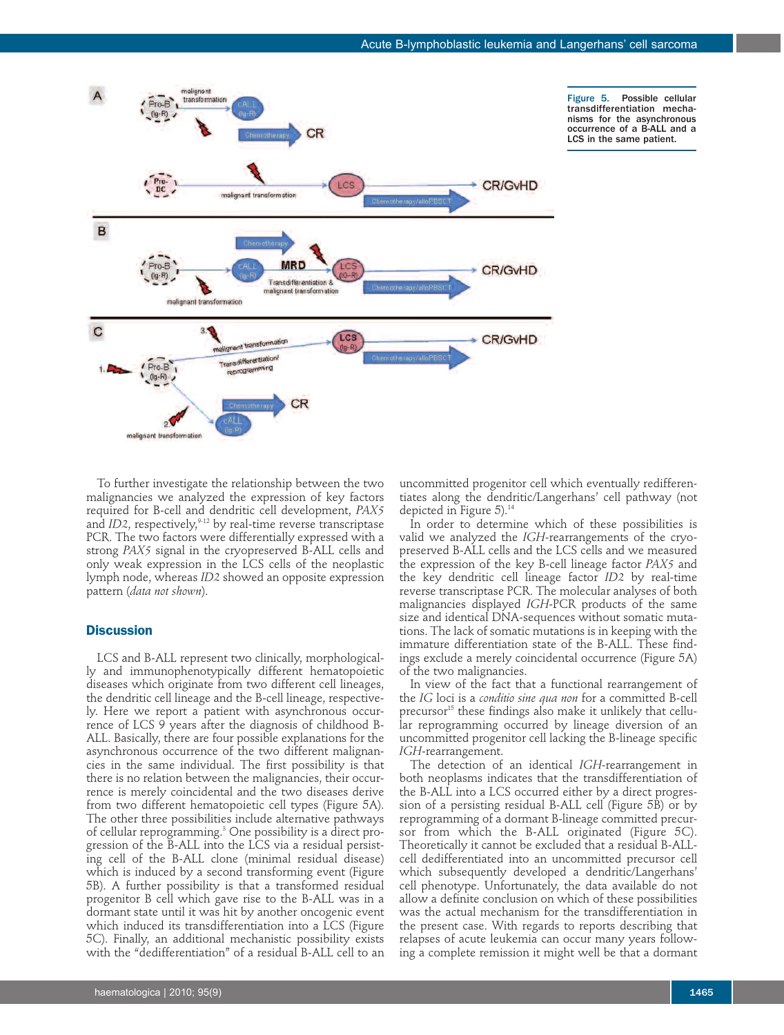

Figure 5. Possible cellular transdifferentiation mechanisms for the asynchronous occurrence of a B-ALL and a LCS in the same patient.

To further investigate the relationship between the two malignancies we analyzed the expression of key factors required for B-cell and dendritic cell development, *PAX5* and *ID2*, respectively,<sup>9-12</sup> by real-time reverse transcriptase PCR. The two factors were differentially expressed with a strong *PAX5* signal in the cryopreserved B-ALL cells and only weak expression in the LCS cells of the neoplastic lymph node, whereas *ID2* showed an opposite expression pattern (*data not shown*).

# **Discussion**

LCS and B-ALL represent two clinically, morphologically and immunophenotypically different hematopoietic diseases which originate from two different cell lineages, the dendritic cell lineage and the B-cell lineage, respectively. Here we report a patient with asynchronous occurrence of LCS 9 years after the diagnosis of childhood B-ALL. Basically, there are four possible explanations for the asynchronous occurrence of the two different malignancies in the same individual. The first possibility is that there is no relation between the malignancies, their occurrence is merely coincidental and the two diseases derive from two different hematopoietic cell types (Figure 5A). The other three possibilities include alternative pathways of cellular reprogramming. <sup>3</sup> One possibility is a direct progression of the B-ALL into the LCS via a residual persisting cell of the B-ALL clone (minimal residual disease) which is induced by a second transforming event (Figure 5B). A further possibility is that a transformed residual progenitor B cell which gave rise to the B-ALL was in a dormant state until it was hit by another oncogenic event which induced its transdifferentiation into a LCS (Figure 5C). Finally, an additional mechanistic possibility exists with the "dedifferentiation" of a residual B-ALL cell to an

uncommitted progenitor cell which eventually redifferentiates along the dendritic/Langerhans' cell pathway (not depicted in Figure 5). 14

In order to determine which of these possibilities is valid we analyzed the *IGH*-rearrangements of the cryopreserved B-ALL cells and the LCS cells and we measured the expression of the key B-cell lineage factor *PAX5* and the key dendritic cell lineage factor *ID2* by real-time reverse transcriptase PCR. The molecular analyses of both malignancies displayed *IGH*-PCR products of the same size and identical DNA-sequences without somatic mutations. The lack of somatic mutations is in keeping with the immature differentiation state of the B-ALL. These findings exclude a merely coincidental occurrence (Figure 5A) of the two malignancies.

In view of the fact that a functional rearrangement of the *IG* loci is a *conditio sine qua non* for a committed B-cell precursor <sup>15</sup> these findings also make it unlikely that cellular reprogramming occurred by lineage diversion of an uncommitted progenitor cell lacking the B-lineage specific *IGH*-rearrangement.

The detection of an identical *IGH*-rearrangement in both neoplasms indicates that the transdifferentiation of the B-ALL into a LCS occurred either by a direct progression of a persisting residual B-ALL cell (Figure 5B) or by reprogramming of a dormant B-lineage committed precursor from which the B-ALL originated (Figure 5C). Theoretically it cannot be excluded that a residual B-ALLcell dedifferentiated into an uncommitted precursor cell which subsequently developed a dendritic/Langerhans' cell phenotype. Unfortunately, the data available do not allow a definite conclusion on which of these possibilities was the actual mechanism for the transdifferentiation in the present case. With regards to reports describing that relapses of acute leukemia can occur many years following a complete remission it might well be that a dormant